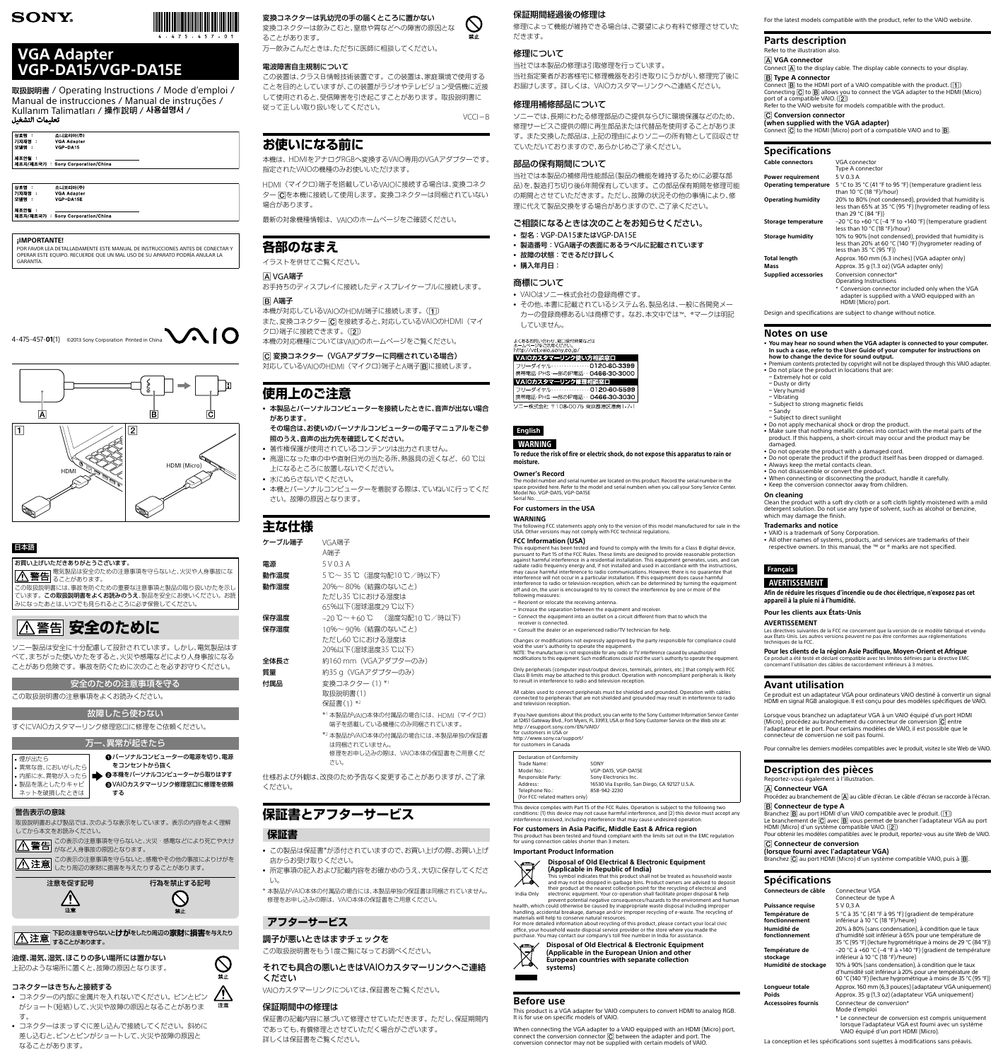**English**

### WARNING

The model number and serial number are located on this product. Record the serial number in the space provided here. Refer to the model and serial numbers when you call your Sony Service Center. Model No. VGP-DA15, VGP-DA15E Serial No.

To reduce the risk of fire or electric shock, do not expose this apparatus to rain or moisture.

#### **Owner's Record**

#### **For customers in the USA**

#### **WARNING**

The following FCC statements apply only to the version of this model manufactured for sale in the USA. Other versions may not comply with FCC technical regulations.

#### **FCC Information (USA)**

This equipment has been tested and found to comply with the limits for a Class B digital device,<br>pursuant to Part 15 of the FCC Rules. These limits are designed to provide reasonable protection<br>against harmful interference radiate radio frequency energy and, if not installed and used in accordance with the instructions, may cause harmful interference to radio communications. However, there is no guarantee that interference will not occur in a particular installation. If this equipment does cause harmful interference to radio or television reception, which can be determined by turning the equipment off and on, the user is encouraged to try to correct the interference by one or more of the following measures:

 $=$  Reorient or relocate the receiving antenna.

- Increase the separation between the equipment and receiver. - Connect the equipment into an outlet on a circuit different from that to which the

receiver is connected. - Consult the dealer or an experienced radio/TV technician for help.

Changes or modifications not expressly approved by the party responsible for compliance could void the user's authority to operate the equipment. NOTE: The manufacturer is not responsible for any radio or TV interference caused by unauthorized

modifications to this equipment. Such modifications could void the user's authority to operate the equipment.

Only peripherals (computer input/output devices, terminals, printers, etc.) that comply with FCC Class B limits may be attached to this product. Operation with noncompliant peripherals is likely to result in interference to radio and television reception.

All cables used to connect peripherals must be shielded and grounded. Operation with cables connected to peripherals that are not shielded and grounded may result in interference to radio and television reception.

When connecting the VGA adapter to a VAIO equipped with an HDMI (Micro) port, connect the conversion connector  $\overline{\mathbf{C}}$  between the adapter and port. The conversion connector may not be supplied with certain models of VAIO.

If you have questions about this product, you can write to the Sony Customer Information Service Center at 12451 Gateway Blvd., Fort Myers, FL 33913, USA or find Sony Customer Service on the Web site at: http://esupport.sony.com/EN/VAIO/ for customers in USA or http://www.sony.ca/support/ for customers in Canada

 $\Box$  Declaration of Con

| Trade Name:                                      | SONY                                           |
|--------------------------------------------------|------------------------------------------------|
| Model No.:                                       | VGP-DA15, VGP-DA15E                            |
| Responsible Party:                               | Sony Electronics Inc.                          |
| Address:                                         | 16530 Via Esprillo, San Diego, CA 92127 U.S.A. |
| Telephone No.:<br>(For FCC-related matters only) | 858-942-2230                                   |
|                                                  |                                                |

This device complies with Part 15 of the FCC Rules. Operation is subject to the following two conditions: (1) this device may not cause harmful interference, and (2) this device must accept any interference received, including interference that may cause undesired operation.

#### **For customers in Asia Pacific, Middle East & Africa region**

This product has been tested and found compliant with the limits set out in the EMC regulation for using connection cables shorter than 3 meters.

#### **Important Product Information**

**Disposal of Old Electrical & Electronic Equipment (Applicable in Republic of India)**



India Only This symbol indicates that this product shall not be treated as household waste<br>and may not be dropped in garbage bins. Product owners are advised to deposit<br>their product at the nearest collection point for the recycling electronic equipment. Your co-operation shall facilitate proper disposal & help prevent potential negative consequences/hazards to the environment and human • All other names of systems, products, and services are trademarks of their respective owners. In this manual, the ™ or ® marks are not specified.

health, which could otherwise be caused by inappropriate waste disposal including improper handling, accidental breakage, damage and/or improper recycling of e-waste. The recycling of materials will help to conserve natural resources.

For more detailed information about recycling of this product, please contact your local civic office, your household waste disposal service provider or the store where you made the purchase. You may contact our company's toll free number in India for assistance.

> **Disposal of Old Electrical & Electronic Equipment (Applicable in the European Union and other European countries with separate collection**



### **Before use**

This product is a VGA adapter for VAIO computers to convert HDMI to analog RGB. It is for use on specific models of VAIO.

Branchez  $\overline{B}$  au port HDMI d'un VAIO compatible avec le produit.  $(\overline{1})$ Le branchement de  $\overline{C}$  avec  $\overline{B}$  vous permet de brancher l'adaptateur VGA au port HDMI (Micro) d'un système compatible VAIO.  $(2)$ Pour obtenir les modèles compatibles avec le produit, reportez-vous au site Web de VAIO.

For the latest models compatible with the product, refer to the VAIO website.

### **Parts description**

Refer to the illustration also.  **VGA connector**  $\overline{\text{Connect}}$   $\overline{\text{A}}$  to the display cable. The display cable connects to your display.  **Type A connector**  $\Xi$   $\cdots$   $\Xi$  to the HDMI port of a VAIO compatible with the product. ( $\overline{1}$ ) Connecting  $\boxed{\text{C}}$  to  $\boxed{\text{B}}$  allows you to connect the VGA adapter to the HDMI (Micro) port of a compatible VAIO.  $(\vert 2 \vert)$ Refer to the VAIO website for models compatible with the product.

取扱説明書 / Operating Instructions / Mode d'emploi / Manual de instrucciones / Manual de instruções / Kullanım Talimatları / 操作說明 / **사용설명서** /<br>تعليمات التشغيل

| 상호명<br>с<br>기자재명<br>÷<br>모델명<br>÷ | 소니코리아(주)<br><b>VGA Adapter</b><br>VGP DA15 |  |
|-----------------------------------|--------------------------------------------|--|
| 제조연월 :                            | 제조자/제조국가 : Sony Corporation/China          |  |

| 상호명         | 소니코리아(주)                          |
|-------------|-----------------------------------|
| │기자재명       | VGA Adapter                       |
| <b> 모델명</b> | <b>VGP DA15E</b>                  |
| 제조연월        | 제조자/제조국가 : Sony Corporation/China |

#### **Conversion connector (when supplied with the VGA adapter)**

Connect  $\boxed{\text{C}}$  to the HDMI (Micro) port of a compatible VAIO and to  $\boxed{\text{B}}$ .

### **Specifications**

### をコンセントから抜く 本機をパーソナルコンピューターから取りはずす )カスタマーリンク修理窓口に修理を依頼

禁止

この表示の注意事項を守らないと、火災・感電などにより死亡や大け 入 警告 がなど人身事故の原因となります。

下記の注意を守らないと**けが**をしたり周辺の**家財**に**損害**を与えたり A注意 tablets and the part of

| <b>Cable connectors</b>      | VGA connector                                                                                                                               |
|------------------------------|---------------------------------------------------------------------------------------------------------------------------------------------|
|                              | Type A connector                                                                                                                            |
| Power requirement            | 5 V 0.3 A                                                                                                                                   |
| <b>Operating temperature</b> | 5 °C to 35 °C (41 °F to 95 °F) (temperature gradient less<br>than 10 °C (18 °F)/hour)                                                       |
| <b>Operating humidity</b>    | 20% to 80% (not condensed), provided that humidity is<br>less than 65% at 35 °C (95 °F) (hygrometer reading of less<br>than 29 °C (84 °F))  |
| Storage temperature          | $-20$ °C to +60 °C (-4 °F to +140 °F) (temperature gradient<br>less than 10 $°C$ (18 $°F$ )/hour)                                           |
| <b>Storage humidity</b>      | 10% to 90% (not condensed), provided that humidity is<br>less than 20% at 60 °C (140 °F) (hygrometer reading of<br>less than 35 °C (95 °F)) |
| <b>Total length</b>          | Approx. 160 mm (6.3 inches) (VGA adapter only)                                                                                              |
| Mass                         | Approx. 35 g (1.3 oz) (VGA adapter only)                                                                                                    |
| <b>Supplied accessories</b>  | Conversion connector*<br>Operating Instructions                                                                                             |
|                              | * Conversion connector included only when the VGA<br>adapter is supplied with a VAIO equipped with an<br>HDMI (Micro) port.                 |

Design and specifications are subject to change without notice.

#### **Notes on use**

- ˎ **You may hear no sound when the VGA adapter is connected to your computer. In such a case, refer to the User Guide of your computer for instructions on**
- **how to change the device for sound output.**
- ˎ Premium contents protected by copyright will not be displayed through this VAIO adapter.

単独の保証書 は同梱されていません。 修理をお申し込みの際は、VAIO本体の保証書をご用意くだ

- この製品は保証書\*が添付されていますので、お買い上げの際、お買い上げ 店からお受け取りください。
- ˎ 所定事項の記入および記載内容をお確かめのうえ、大切に保存してくださ い。

修理によって機能が維持できる場合は、ご要望により有料で修理させていた だきます。

> ˎ Make sure that nothing metallic comes into contact with the metal parts of the product. If this happens, a short-circuit may occur and the product may be

damaged.

ˎ Do not operate the product with a damaged cord.

• Keep the conversion connector away from children.

– Subject to direct sunlight

- <sup>ˎ</sup> 型名:VGP-DA15またはVGP-DA15E
- <sup>ˎ</sup> 製造番号:VGA端子の表面にあるラベルに記載されています
- ˎ 故障の状態:できるだけ詳しく
- 購入年月日:

ˎ Do not operate the product if the product itself has been dropped or damaged.

ˎ Always keep the metal contacts clean. ˎ Do not disassemble or convert the product.

• VAIO is a trademark of Sony Corporation.

• Do not apply mechanical shock or drop the product.

ˎ When connecting or disconnecting the product, handle it carefully.

• Do not place the product in locations that are:<br>- Extremely hot or cold

- Subject to strong magnetic fields

**On cleaning**

Clean the product with a soft dry cloth or a soft cloth lightly moistened with a mild detergent solution. Do not use any type of solvent, such as alcohol or benzine,

which may damage the finish. **Trademarks and notice**

- Dusty or dirty - Very humid

 $-Vibrating$ 

– Sandy

**Français**

AVERTISSEMENT

Afin de réduire les risques d'incendie ou de choc électrique, n'exposez pas cet

appareil à la pluie ni à l'humidité. **Pour les clients aux États-Unis**

**AVERTISSEMENT**

Les directives suivantes de la FCC ne concernent que la version de ce modèle fabriqué et vendu

techniques de la FCC.

**Pour les clients de la région Asie Pacifique, Moyen-Orient et Afrique** Ce produit a été testé et déclaré compatible avec les limites définies par la directive EMC

aux États-Unis. Les autres versions peuvent ne pas être conformes aux réglement

concernant l'utilisation des câbles de raccordement inférieurs à 3 mètres.

**Avant utilisation**

Ce produit est un adaptateur VGA pour ordinateurs VAIO destiné à convertir un signal HDMI en signal RGB analogique. Il est conçu pour des modèles spécifiques de VAIO. Lorsque vous branchez un adaptateur VGA à un VAIO équipé d'un port HDMI (Micro), procédez au branchement du connecteur de conversion  $\overline{C}$  entre l'adaptateur et le port. Pour certains modèles de VAIO, il est possible que le

connecteur de conversion ne soit pas fourni.

Pour connaître les derniers modèles compatibles avec le produit, visitez le site Web de VAIO.

#### **Description des pièces** Reportez-vous également à l'illustration.

#### **Connecteur VGA**

Procédez au branchement de  $\boxed{A}$  au câble d'écran. Le câble d'écran se raccorde à l'écran.

#### **Connecteur de type A**

#### **Connecteur de conversion (lorsque fourni avec l'adaptateur VGA)**

Branchez  $\overline{C}$  au port HDMI (Micro) d'un système compatible VAIO, puis à  $\overline{B}$ .

### **Spécifications**

| Connecteurs de câble             | Connecteur VGA<br>Connecteur de type A                                                                                                                                               |
|----------------------------------|--------------------------------------------------------------------------------------------------------------------------------------------------------------------------------------|
| <b>Puissance requise</b>         | 5 V 0,3 A                                                                                                                                                                            |
| Température de<br>fonctionnement | 5 °C à 35 °C (41 °F à 95 °F) (gradient de température<br>inférieur à 10 °C (18 °F)/heure)                                                                                            |
| Humidité de<br>fonctionnement    | 20% à 80% (sans condensation), à condition que le taux<br>d'humidité soit inférieur à 65% pour une température de<br>35 °C (95 °F) (lecture hygrométrique à moins de 29 °C (84 °F))  |
| Température de<br>stockage       | $-20$ °C à +60 °C (-4 °F à +140 °F) (gradient de température<br>inférieur à 10 °C (18 °F)/heure)                                                                                     |
| Humidité de stockage             | 10% à 90% (sans condensation), à condition que le taux<br>d'humidité soit inférieur à 20% pour une température de<br>60 °C (140 °F) (lecture hygrométrique à moins de 35 °C (95 °F)) |
| Longueur totale                  | Approx. 160 mm (6,3 pouces) (adaptateur VGA uniquement)                                                                                                                              |
| <b>Poids</b>                     | Approx. 35 g (1,3 oz) (adaptateur VGA uniquement)                                                                                                                                    |
| <b>Accessoires fournis</b>       | Connecteur de conversion*<br>Mode d'emploi                                                                                                                                           |
|                                  | * Le connecteur de conversion est compris uniquement<br>lorsque l'adaptateur VGA est fourni avec un système<br>VAIO équipé d'un port HDMI (Micro).                                   |
|                                  | La conception et les spécifications sont sujettes à modifications sans préavis.                                                                                                      |



## **VGA Adapter VGP-DA15/VGP-DA15E**

#### **¡IMPORTANTE!**

POR FAVOR LEA DETALLADAMENTE ESTE MANUAL DE INSTRUCCIONES ANTES DE CONECTAR Y OPERAR ESTE EQUIPO. RECUERDE QUE UN MAL USO DE SU APARATO PODRÍA ANULAR LA GARANTÍA.

4-475-457-**01**(1) ©2013 Sony Corporation Printed in China





#### 日本語

お買い上げいただきありがとうございます。

この取扱説明書には、事故を防ぐための重要な注意事項と製品の取り扱いかたを示し ています。この取扱説明書をよくお読みのうえ、製品を安全にお使いください。お読 みになったあとは、いつでも見られるところに必ず保管してください。

# **公警告 安全のために**

ソニー製品は安全に十分配慮して設計されています。しかし、電気製品はす べて、まちがった使いかたをすると、火災や感電などにより人身事故になる ことがあり危険です。事故を防ぐために次のことを必ずお守りください。

| 安全のための注意事項を守る |
|---------------|
|---------------|

この取扱説明書の注意事項をよくお読みください。

### 故障したら使わない

すぐにVAIOカスタマーリンク修理窓口に修理をご依頼ください。

万一、異常が起きたら パーソナルコンピューターの電源を切り、電源

| 。煙が出たら           | ₩/\−.        |
|------------------|--------------|
| • 異常な音、においがしたら   | をコン          |
| •内部に水、異物が入ったら  ■ | ▶ ❷本機を       |
| • 製品を落としたりキャビ    | <b>@VAIO</b> |
| ネットを破損したときは      | する           |
|                  |              |

### 警告表示の意味

取扱説明書および製品では、次のような表示をしています。表示の内容をよく理解 してから本文をお読みください。

この表示の注意事項を守らないと、感電やその他の事故によりけがを △注意 したり周辺の家財に損害を与えたりすることがあります。



#### 油煙、湯気、湿気、ほこりの多い場所には置かない 上記のような場所に置くと、故障の原因となります。

### コネクターはきちんと接続する

- ˎ コネクターの内部に金属片を入れないでください。ピンとピン がショート(短絡)して、火災や故障の原因となることがありま す。
- コネクターはまっすぐに差し込んで接続してください。斜めに 差し込むと、ピンとピンがショートして、火災や故障の原因と なることがあります。

変換コネクターは乳幼児の手の届くところに置かない

変換コネクターは飲みこむと、窒息や胃などへの障害の原因とな ることがあります。 万一飲みこんだときは、ただちに医師に相談してください。

### 電波障害自主規制について

この装置は、クラスB情報技術装置です。この装置は、家庭環境で使用する ことを目的としていますが、この装置がラジオやテレビジョン受信機に近接 して使用されると、受信障害を引き起こすことがあります。取扱説明書に 従って正しい取り扱いをしてください。

 $VCCI-B$ 

### **お使いになる前に**

本機は、HDMIをアナログRGBへ変換するVAIO専用のVGAアダプターです。 指定されたVAIOの機種のみお使いいただけます。

HDMI(マイクロ)端子を搭載しているVAIOに接続する場合は、変換コネク ター にを本機に接続して使用します。変換コネクターは同梱されていない 場合があります。

最新の対象機種情報は、VAIOのホームページをご確認ください。

### **各部のなまえ**

イラストを併せてご覧ください。

#### **AVGA端子**

お手持ちのディスプレイに接続したディスプレイケーブルに接続します。

### B A端子

本機が対応しているVAIOのHDMI端子に接続します。(1) また、変換コネクター C を接続すると、対応しているVAIOのHDMI (マイ クロ)端子に接続できます。(2)

本機の対応機種についてはVAIOのホームページをご覧ください。

### 変換コネクター(VGAアダプターに同梱されている場合)

対応しているVAIOのHDMI (マイクロ)端子とA端子国に接続します。

### **使用上のご注意**

- ˎ 本製品とパーソナルコンピューターを接続したときに、音声が出ない場合 があります。
- その場合は、お使いのパーソナルコンピューターの電子マニュアルをご参 照のうえ、音声の出力先を確認してください。
- 著作権保護が使用されているコンテンツは出力されません。
- 高温になった車の中や直射日光の当たる所、熱器具の近くなど、60 ℃以 上になるところに放置しないでください。
- ˎ 水にぬらさないでください。
- 本機とパーソナルコンピューターを着脱する際は、ていねいに行ってくだ さい。故障の原因となります。

### **主な仕様**

| ケーブル端子 | VGA端子                            |
|--------|----------------------------------|
|        | A端子                              |
| 雷源     | 5 V 0.3 A                        |
| 動作温度   | 5℃~35℃(温度勾配10℃/時以下)              |
| 動作湿度   | 20%~80% (結露のないこと)                |
|        | ただし35 ℃における湿度は                   |
|        | 65%以下(湿球温度29 ℃以下)                |
| 保存温度   | -20℃~+60℃ (温度勾配10℃/時以下)          |
| 保存湿度   | 10%~90%(結露のないこと)                 |
|        | ただし60 ℃における湿度は                   |
|        | 20%以下(湿球温度35 ℃以下)                |
| 全体長さ   | 約160 mm(VGAアダプターのみ)              |
| 質量     | 約35 g(VGAアダプターのみ)                |
| 付属品    | 変換コネクター (1) *1                   |
|        | 取扱説明書(1)                         |
|        | 保証書(1) *2                        |
|        | *1本製品がVAIO本体の付属品の場合には、HDMI(マイクロ) |
|        | 端子を搭載している機種にのみ同梱されています。          |
|        | *2 木製品がVAIO木休の付属品の場合には、木製品単独の保証員 |

#### さい。

仕様および外観は、改良のため予告なく変更することがありますが、ご了承 ください。

# **保証書とアフターサービス**

## **保証書**

\* 本製品がVAIO本体の付属品の場合には、本製品単独の保証書は同梱されていません。 修理をお申し込みの際は、VAIO本体の保証書をご用意ください。

### **アフターサービス**

### 調子が悪いときはまずチェックを この取扱説明書をもう1度ご覧になってお調べください。

それでも具合の悪いときはVAIOカスタマーリンクへご連絡 ください

VAIOカスタマーリンクについては、保証書をご覧ください。

### 保証期間中の修理は

保証書の記載内容に基づいて修理させていただきます。ただし、保証期間内 であっても、有償修理とさせていただく場合がございます。 詳しくは保証書をご覧ください。

#### 保証期間経過後の修理は

### 修理について

当社では本製品の修理は引取修理を行っています。 当社指定業者がお客様宅に修理機器をお引き取りにうかがい、修理完了後に お届けします。詳しくは、VAIOカスタマーリンクへご連絡ください。

#### 修理用補修部品について

ソニーでは、長期にわたる修理部品のご提供ならびに環境保護などのため、 修理サービスご提供の際に再生部品または代替品を使用することがありま す。また交換した部品は、上記の理由によりソニーの所有物として回収させ ていただいておりますので、あらかじめご了承ください。

#### 部品の保有期間について

当社では本製品の補修用性能部品(製品の機能を維持するために必要な部 品)を、製造打ち切り後6年間保有しています。この部品保有期間を修理可能 の期間とさせていただきます。ただし、故障の状況その他の事情により、修 理に代えて製品交換をする場合がありますので、ご了承ください。

### ご相談になるときは次のことをお知らせください。

#### 商標について

- <sup>ˎ</sup> VAIOはソニー株式会社の登録商標です。
- その他、本書に記載されているシステム名、製品名は、一般に各開発メー カーの登録商標あるいは商標です。なお、本文中では™、®マークは明記 していません。

#### よくあるお問い合わせ、窓口受付時間などは<br>ホームページをご活用ください

| http://vol.vaio.sony.co.ip/ |                                  |
|-----------------------------|----------------------------------|
| VAIOカスタマーリンク使い方相談窓口         |                                  |
|                             | フリーダイヤル……………0120-60-3399         |
|                             | 携帯電話·PHS·一部のIP電話…0466-30-3000    |
|                             |                                  |
| VAIOカスタマーリンク修理相談窓口          |                                  |
|                             | フリーダイヤル……………0120-60-5599         |
|                             | 携帯電話· PHS·一部のIP電話 · 0466-30-3030 |